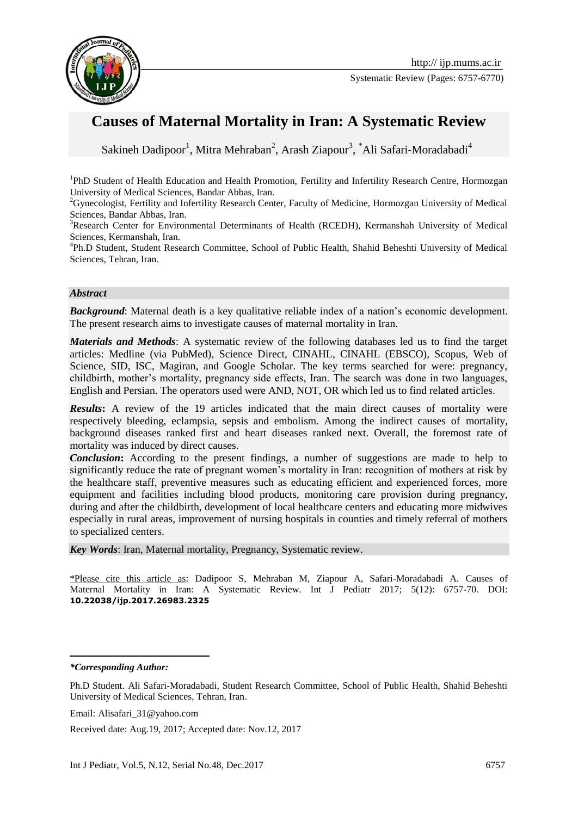

Systematic Review (Pages: 6757-6770)

# **Causes of Maternal Mortality in Iran: A Systematic Review**

Sakineh Dadipoor<sup>1</sup>, Mitra Mehraban<sup>2</sup>, Arash Ziapour<sup>3</sup>, \*Ali Safari-Moradabadi<sup>4</sup>

<sup>1</sup>PhD Student of Health Education and Health Promotion, Fertility and Infertility Research Centre, Hormozgan University of Medical Sciences, Bandar Abbas, Iran.

<sup>2</sup>Gynecologist, Fertility and Infertility Research Center, Faculty of Medicine, Hormozgan University of Medical Sciences, Bandar Abbas, Iran.

<sup>3</sup>Research Center for Environmental Determinants of Health (RCEDH), Kermanshah University of Medical Sciences, Kermanshah, Iran.

4 Ph.D Student, Student Research Committee, School of Public Health, Shahid Beheshti University of Medical Sciences, Tehran, Iran.

#### *Abstract*

*Background*: Maternal death is a key qualitative reliable index of a nation's economic development. The present research aims to investigate causes of maternal mortality in Iran.

*Materials and Methods*: A systematic review of the following databases led us to find the target articles: Medline (via PubMed), Science Direct, CINAHL, CINAHL (EBSCO), Scopus, Web of Science, SID, ISC, Magiran, and Google Scholar. The key terms searched for were: pregnancy, childbirth, mother's mortality, pregnancy side effects, Iran. The search was done in two languages, English and Persian. The operators used were AND, NOT, OR which led us to find related articles.

*Results*: A review of the 19 articles indicated that the main direct causes of mortality were respectively bleeding, eclampsia, sepsis and embolism. Among the indirect causes of mortality, background diseases ranked first and heart diseases ranked next. Overall, the foremost rate of mortality was induced by direct causes.

**Conclusion:** According to the present findings, a number of suggestions are made to help to significantly reduce the rate of pregnant women's mortality in Iran: recognition of mothers at risk by the healthcare staff, preventive measures such as educating efficient and experienced forces, more equipment and facilities including blood products, monitoring care provision during pregnancy, during and after the childbirth, development of local healthcare centers and educating more midwives especially in rural areas, improvement of nursing hospitals in counties and timely referral of mothers to specialized centers.

*Key Words*: Iran, Maternal mortality, Pregnancy, Systematic review.

\*Please cite this article as: Dadipoor S, Mehraban M, Ziapour A, Safari-Moradabadi A. Causes of Maternal Mortality in Iran: A Systematic Review. Int J Pediatr 2017; 5(12): 6757-70. DOI: **10.22038/ijp.2017.26983.2325**

*\*Corresponding Author:*

**.** 

Email: Alisafari\_31@yahoo.com

Received date: Aug.19, 2017; Accepted date: Nov.12, 2017

Ph.D Student. Ali Safari-Moradabadi, Student Research Committee, School of Public Health, Shahid Beheshti University of Medical Sciences, Tehran, Iran.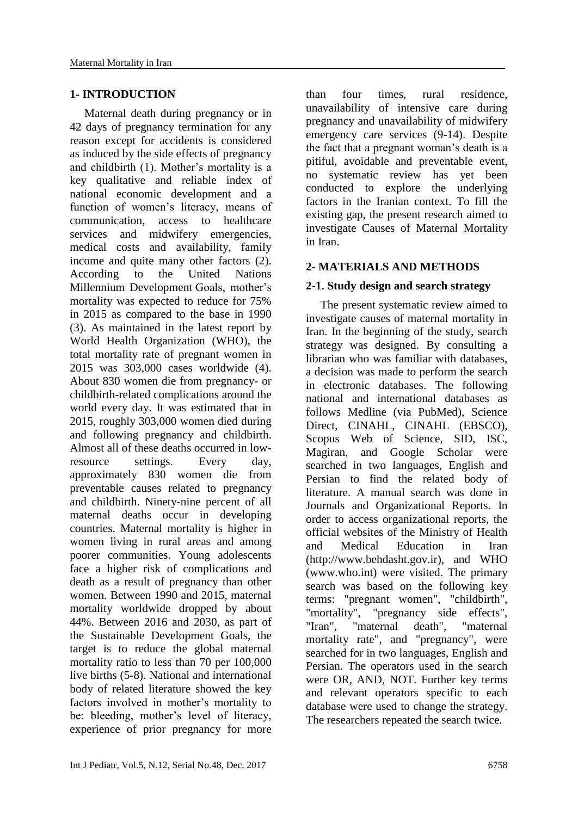### **1- INTRODUCTION**

 Maternal death during pregnancy or in 42 days of pregnancy termination for any reason except for accidents is considered as induced by the side effects of pregnancy and childbirth (1). Mother's mortality is a key qualitative and reliable index of national economic development and a function of women's literacy, means of communication, access to healthcare services and midwifery emergencies, medical costs and availability, family income and quite many other factors (2). According to the United Nations Millennium Development Goals, mother's mortality was expected to reduce for 75% in 2015 as compared to the base in 1990 (3). As maintained in the latest report by World Health Organization (WHO), the total mortality rate of pregnant women in 2015 was 303,000 cases worldwide (4). About 830 women die from pregnancy- or childbirth-related complications around the world every day. It was estimated that in 2015, roughly 303,000 women died during and following pregnancy and childbirth. Almost all of these deaths occurred in lowresource settings. Every day, approximately 830 women die from preventable causes related to pregnancy and childbirth. Ninety-nine percent of all maternal deaths occur in developing countries. Maternal mortality is higher in women living in rural areas and among poorer communities. Young adolescents face a higher risk of complications and death as a result of pregnancy than other women. Between 1990 and 2015, maternal mortality worldwide dropped by about 44%. Between 2016 and 2030, as part of the Sustainable Development Goals, the target is to reduce the global maternal mortality ratio to less than 70 per 100,000 live births (5-8). National and international body of related literature showed the key factors involved in mother's mortality to be: bleeding, mother's level of literacy, experience of prior pregnancy for more

than four times, rural residence, unavailability of intensive care during pregnancy and unavailability of midwifery emergency care services (9-14). Despite the fact that a pregnant woman's death is a pitiful, avoidable and preventable event, no systematic review has yet been conducted to explore the underlying factors in the Iranian context. To fill the existing gap, the present research aimed to investigate Causes of Maternal Mortality in Iran.

### **2- MATERIALS AND METHODS**

### **2-1. Study design and search strategy**

 The present systematic review aimed to investigate causes of maternal mortality in Iran. In the beginning of the study, search strategy was designed. By consulting a librarian who was familiar with databases, a decision was made to perform the search in electronic databases. The following national and international databases as follows Medline (via PubMed), Science Direct, CINAHL, CINAHL (EBSCO), Scopus Web of Science, SID, ISC, Magiran, and Google Scholar were searched in two languages, English and Persian to find the related body of literature. A manual search was done in Journals and Organizational Reports. In order to access organizational reports, the official websites of the Ministry of Health and Medical Education in Iran (http://www.behdasht.gov.ir), and WHO (www.who.int) were visited. The primary search was based on the following key terms: "pregnant women", "childbirth",<br>"mortality", "pregnancy side effects", "pregnancy side effects", "Iran", "maternal death", "maternal mortality rate", and "pregnancy", were searched for in two languages, English and Persian. The operators used in the search were OR, AND, NOT. Further key terms and relevant operators specific to each database were used to change the strategy. The researchers repeated the search twice.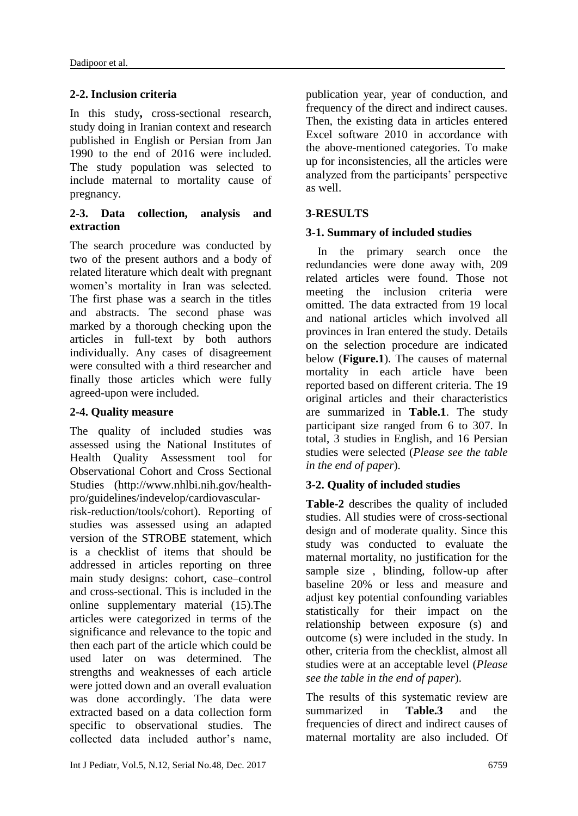# **2-2. Inclusion criteria**

In this study**,** cross-sectional research, study doing in Iranian context and research published in English or Persian from Jan 1990 to the end of 2016 were included. The study population was selected to include maternal to mortality cause of pregnancy.

### **2-3. Data collection, analysis and extraction**

The search procedure was conducted by two of the present authors and a body of related literature which dealt with pregnant women's mortality in Iran was selected. The first phase was a search in the titles and abstracts. The second phase was marked by a thorough checking upon the articles in full-text by both authors individually. Any cases of disagreement were consulted with a third researcher and finally those articles which were fully agreed-upon were included.

### **2-4. Quality measure**

The quality of included studies was assessed using the National Institutes of Health Quality Assessment tool for Observational Cohort and Cross Sectional Studies (http://www.nhlbi.nih.gov/healthpro/guidelines/indevelop/cardiovascular-

risk-reduction/tools/cohort). Reporting of studies was assessed using an adapted version of the STROBE statement, which is a checklist of items that should be addressed in articles reporting on three main study designs: cohort, case–control and cross-sectional. This is included in the online supplementary material (15).The articles were categorized in terms of the significance and relevance to the topic and then each part of the article which could be used later on was determined. The strengths and weaknesses of each article were jotted down and an overall evaluation was done accordingly. The data were extracted based on a data collection form specific to observational studies. The collected data included author's name,

publication year, year of conduction, and frequency of the direct and indirect causes. Then, the existing data in articles entered Excel software 2010 in accordance with the above-mentioned categories. To make up for inconsistencies, all the articles were analyzed from the participants' perspective as well.

# **3-RESULTS**

### **3-1. Summary of included studies**

 In the primary search once the redundancies were done away with, 209 related articles were found. Those not meeting the inclusion criteria were omitted. The data extracted from 19 local and national articles which involved all provinces in Iran entered the study. Details on the selection procedure are indicated below (**Figure.1**). The causes of maternal mortality in each article have been reported based on different criteria. The 19 original articles and their characteristics are summarized in **Table.1**. The study participant size ranged from 6 to 307. In total, 3 studies in English, and 16 Persian studies were selected (*Please see the table in the end of paper*).

### **3-2. Quality of included studies**

**Table-2** describes the quality of included studies. All studies were of cross-sectional design and of moderate quality. Since this study was conducted to evaluate the maternal mortality, no justification for the sample size , blinding, follow-up after baseline 20% or less and measure and adjust key potential confounding variables statistically for their impact on the relationship between exposure (s) and outcome (s) were included in the study. In other, criteria from the checklist, almost all studies were at an acceptable level (*Please see the table in the end of paper*).

The results of this systematic review are summarized in **Table.3** and the frequencies of direct and indirect causes of maternal mortality are also included. Of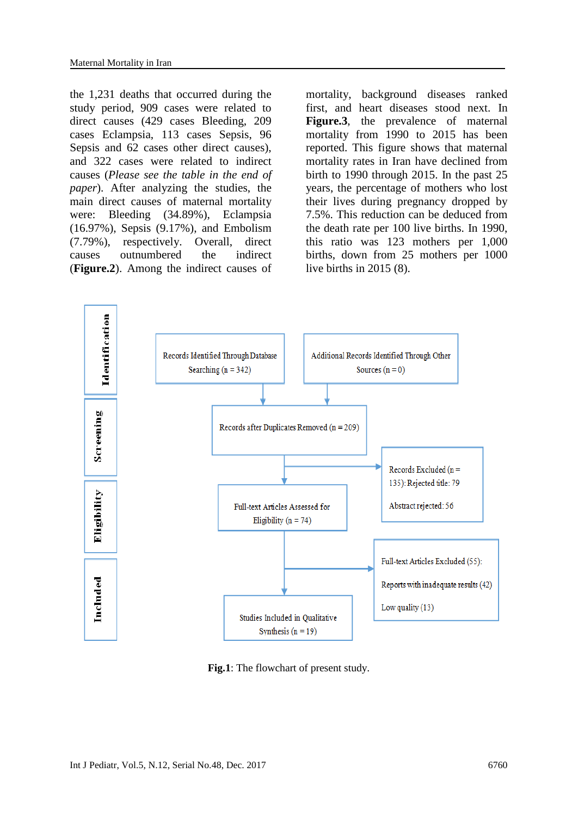the 1,231 deaths that occurred during the study period, 909 cases were related to direct causes (429 cases Bleeding, 209 cases Eclampsia, 113 cases Sepsis, 96 Sepsis and 62 cases other direct causes), and 322 cases were related to indirect causes (*Please see the table in the end of paper*). After analyzing the studies, the main direct causes of maternal mortality were: Bleeding (34.89%), Eclampsia (16.97%), Sepsis (9.17%), and Embolism (7.79%), respectively. Overall, direct causes outnumbered the indirect (**Figure.2**). Among the indirect causes of

mortality, background diseases ranked first, and heart diseases stood next. In **Figure.3**, the prevalence of maternal mortality from 1990 to 2015 has been reported. This figure shows that maternal mortality rates in Iran have declined from birth to 1990 through 2015. In the past 25 years, the percentage of mothers who lost their lives during pregnancy dropped by 7.5%. This reduction can be deduced from the death rate per 100 live births. In 1990, this ratio was 123 mothers per 1,000 births, down from 25 mothers per 1000 live births in 2015 (8).



**Fig.1**: The flowchart of present study.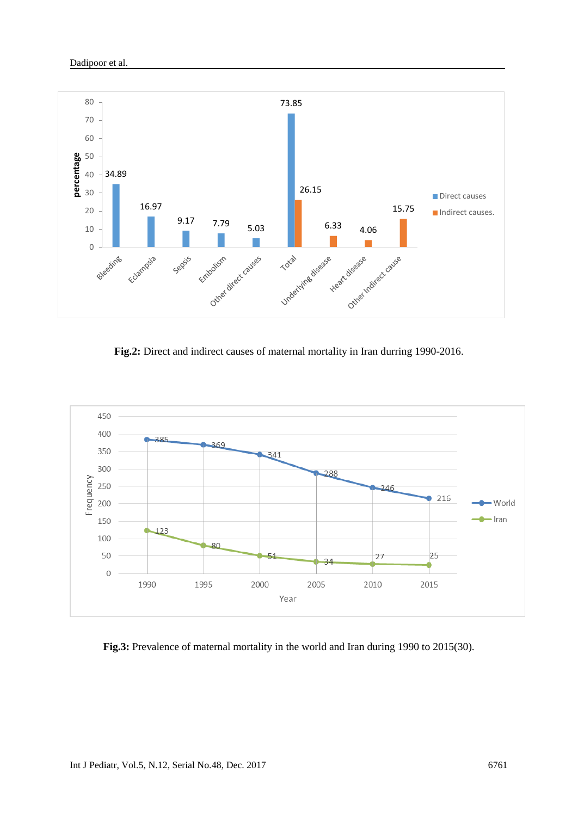

**Fig.2:** Direct and indirect causes of maternal mortality in Iran durring 1990-2016.



**Fig.3:** Prevalence of maternal mortality in the world and Iran during 1990 to 2015(30).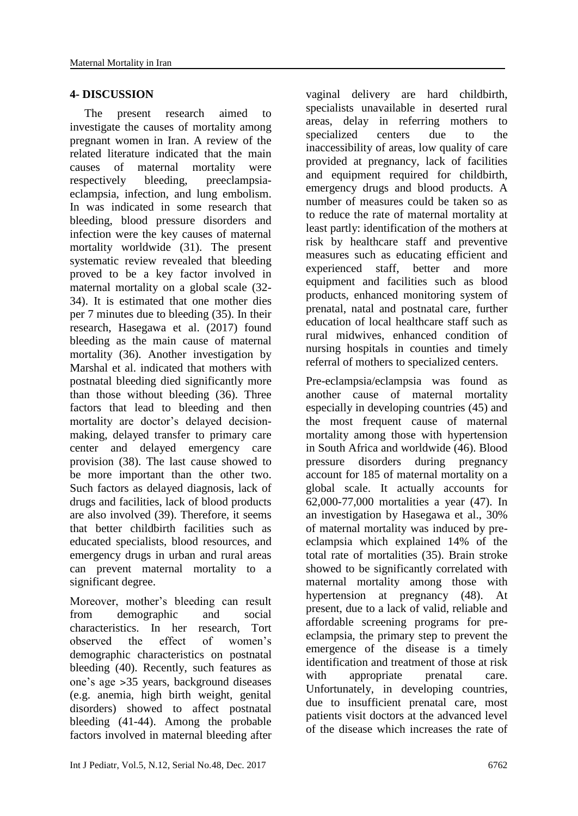### **4- DISCUSSION**

 The present research aimed to investigate the causes of mortality among pregnant women in Iran. A review of the related literature indicated that the main causes of maternal mortality were respectively bleeding, preeclampsiaeclampsia, infection, and lung embolism. In was indicated in some research that bleeding, blood pressure disorders and infection were the key causes of maternal mortality worldwide (31). The present systematic review revealed that bleeding proved to be a key factor involved in maternal mortality on a global scale (32- 34). It is estimated that one mother dies per 7 minutes due to bleeding (35). In their research, Hasegawa et al. (2017) found bleeding as the main cause of maternal mortality (36). Another investigation by Marshal et al. indicated that mothers with postnatal bleeding died significantly more than those without bleeding (36). Three factors that lead to bleeding and then mortality are doctor's delayed decisionmaking, delayed transfer to primary care center and delayed emergency care provision (38). The last cause showed to be more important than the other two. Such factors as delayed diagnosis, lack of drugs and facilities, lack of blood products are also involved (39). Therefore, it seems that better childbirth facilities such as educated specialists, blood resources, and emergency drugs in urban and rural areas can prevent maternal mortality to a significant degree.

Moreover, mother's bleeding can result from demographic and social characteristics. In her research, Tort observed the effect of women's demographic characteristics on postnatal bleeding (40). Recently, such features as one's age ˃35 years, background diseases (e.g. anemia, high birth weight, genital disorders) showed to affect postnatal bleeding (41-44). Among the probable factors involved in maternal bleeding after

vaginal delivery are hard childbirth, specialists unavailable in deserted rural areas, delay in referring mothers to specialized centers due to the inaccessibility of areas, low quality of care provided at pregnancy, lack of facilities and equipment required for childbirth, emergency drugs and blood products. A number of measures could be taken so as to reduce the rate of maternal mortality at least partly: identification of the mothers at risk by healthcare staff and preventive measures such as educating efficient and experienced staff, better and more equipment and facilities such as blood products, enhanced monitoring system of prenatal, natal and postnatal care, further education of local healthcare staff such as rural midwives, enhanced condition of nursing hospitals in counties and timely referral of mothers to specialized centers.

Pre-eclampsia/eclampsia was found as another cause of maternal mortality especially in developing countries (45) and the most frequent cause of maternal mortality among those with hypertension in South Africa and worldwide (46). Blood pressure disorders during pregnancy account for 185 of maternal mortality on a global scale. It actually accounts for 62,000-77,000 mortalities a year (47). In an investigation by Hasegawa et al., 30% of maternal mortality was induced by preeclampsia which explained 14% of the total rate of mortalities (35). Brain stroke showed to be significantly correlated with maternal mortality among those with hypertension at pregnancy (48). At present, due to a lack of valid, reliable and affordable screening programs for preeclampsia, the primary step to prevent the emergence of the disease is a timely identification and treatment of those at risk with appropriate prenatal care. Unfortunately, in developing countries, due to insufficient prenatal care, most patients visit doctors at the advanced level of the disease which increases the rate of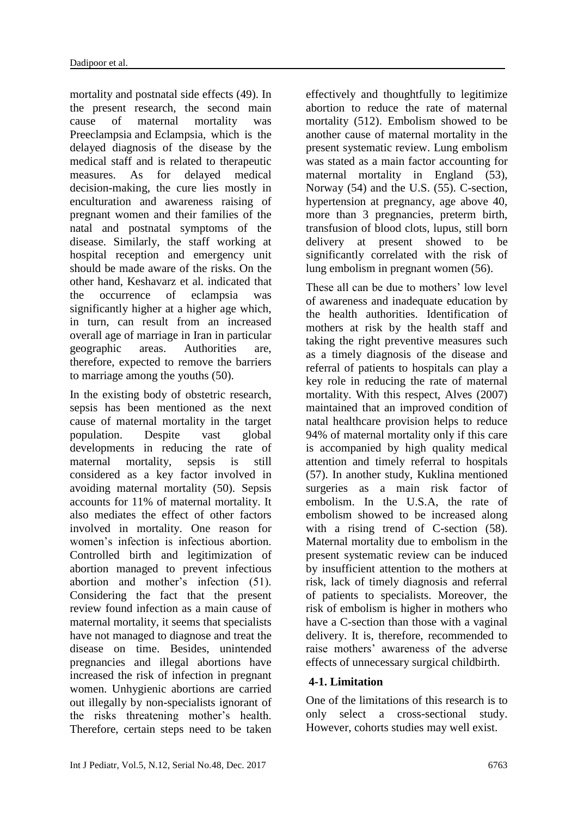mortality and postnatal side effects (49). In the present research, the second main cause of maternal mortality was Preeclampsia and Eclampsia, which is the delayed diagnosis of the disease by the medical staff and is related to therapeutic measures. As for delayed medical decision-making, the cure lies mostly in enculturation and awareness raising of pregnant women and their families of the natal and postnatal symptoms of the disease. Similarly, the staff working at hospital reception and emergency unit should be made aware of the risks. On the other hand, Keshavarz et al. indicated that the occurrence of eclampsia was significantly higher at a higher age which, in turn, can result from an increased overall age of marriage in Iran in particular geographic areas. Authorities are, therefore, expected to remove the barriers to marriage among the youths (50).

In the existing body of obstetric research, sepsis has been mentioned as the next cause of maternal mortality in the target population. Despite vast global developments in reducing the rate of maternal mortality, sepsis is still considered as a key factor involved in avoiding maternal mortality (50). Sepsis accounts for 11% of maternal mortality. It also mediates the effect of other factors involved in mortality. One reason for women's infection is infectious abortion. Controlled birth and legitimization of abortion managed to prevent infectious abortion and mother's infection (51). Considering the fact that the present review found infection as a main cause of maternal mortality, it seems that specialists have not managed to diagnose and treat the disease on time. Besides, unintended pregnancies and illegal abortions have increased the risk of infection in pregnant women. Unhygienic abortions are carried out illegally by non-specialists ignorant of the risks threatening mother's health. Therefore, certain steps need to be taken

effectively and thoughtfully to legitimize abortion to reduce the rate of maternal mortality (512). Embolism showed to be another cause of maternal mortality in the present systematic review. Lung embolism was stated as a main factor accounting for maternal mortality in England (53), Norway (54) and the U.S. (55). C-section, hypertension at pregnancy, age above 40, more than 3 pregnancies, preterm birth, transfusion of blood clots, lupus, still born delivery at present showed to be significantly correlated with the risk of lung embolism in pregnant women (56).

These all can be due to mothers' low level of awareness and inadequate education by the health authorities. Identification of mothers at risk by the health staff and taking the right preventive measures such as a timely diagnosis of the disease and referral of patients to hospitals can play a key role in reducing the rate of maternal mortality. With this respect, Alves (2007) maintained that an improved condition of natal healthcare provision helps to reduce 94% of maternal mortality only if this care is accompanied by high quality medical attention and timely referral to hospitals (57). In another study, Kuklina mentioned surgeries as a main risk factor of embolism. In the U.S.A, the rate of embolism showed to be increased along with a rising trend of C-section (58). Maternal mortality due to embolism in the present systematic review can be induced by insufficient attention to the mothers at risk, lack of timely diagnosis and referral of patients to specialists. Moreover, the risk of embolism is higher in mothers who have a C-section than those with a vaginal delivery. It is, therefore, recommended to raise mothers' awareness of the adverse effects of unnecessary surgical childbirth.

### **4-1. Limitation**

One of the limitations of this research is to only select a cross-sectional study. However, cohorts studies may well exist.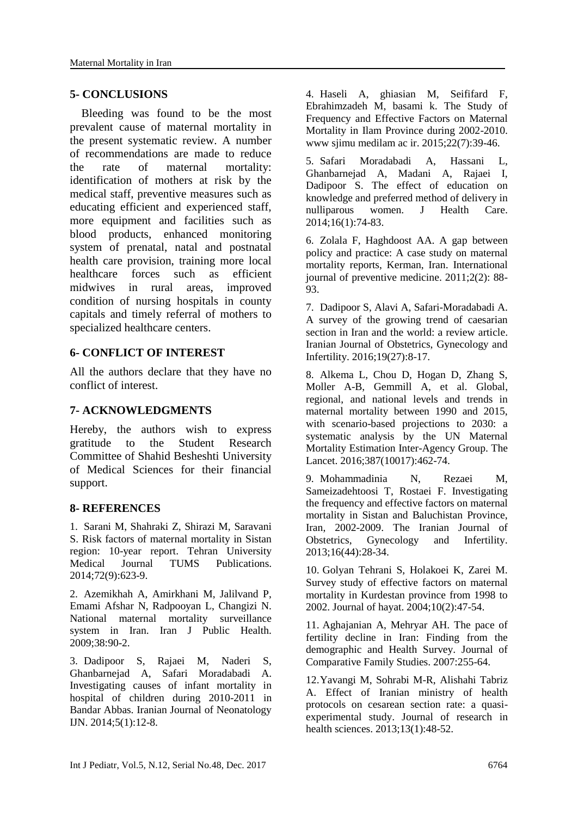#### **5- CONCLUSIONS**

 Bleeding was found to be the most prevalent cause of maternal mortality in the present systematic review. A number of recommendations are made to reduce the rate of maternal mortality: identification of mothers at risk by the medical staff, preventive measures such as educating efficient and experienced staff, more equipment and facilities such as blood products, enhanced monitoring system of prenatal, natal and postnatal health care provision, training more local healthcare forces such as efficient midwives in rural areas, improved condition of nursing hospitals in county capitals and timely referral of mothers to specialized healthcare centers.

### **6- CONFLICT OF INTEREST**

All the authors declare that they have no conflict of interest.

### **7- ACKNOWLEDGMENTS**

Hereby, the authors wish to express gratitude to the Student Research Committee of Shahid Besheshti University of Medical Sciences for their financial support.

#### **8- REFERENCES**

1. Sarani M, Shahraki Z, Shirazi M, Saravani S. Risk factors of maternal mortality in Sistan region: 10-year report. Tehran University Medical Journal TUMS Publications. 2014;72(9):623-9.

2. Azemikhah A, Amirkhani M, Jalilvand P, Emami Afshar N, Radpooyan L, Changizi N. National maternal mortality surveillance system in Iran. Iran J Public Health. 2009;38:90-2.

3. Dadipoor S, Rajaei M, Naderi S, Ghanbarnejad A, Safari Moradabadi A. Investigating causes of infant mortality in hospital of children during 2010-2011 in Bandar Abbas. Iranian Journal of Neonatology IJN. 2014;5(1):12-8.

4. Haseli A, ghiasian M, Seififard F, Ebrahimzadeh M, basami k. The Study of Frequency and Effective Factors on Maternal Mortality in Ilam Province during 2002-2010. www sjimu medilam ac ir. 2015;22(7):39-46.

5. Safari Moradabadi A, Hassani L, Ghanbarnejad A, Madani A, Rajaei I, Dadipoor S. The effect of education on knowledge and preferred method of delivery in nulliparous women. J Health Care. 2014;16(1):74-83.

6. Zolala F, Haghdoost AA. A gap between policy and practice: A case study on maternal mortality reports, Kerman, Iran. International journal of preventive medicine. 2011;2(2): 88- 93.

7. Dadipoor S, Alavi A, Safari-Moradabadi A. A survey of the growing trend of caesarian section in Iran and the world: a review article. Iranian Journal of Obstetrics, Gynecology and Infertility. 2016;19(27):8-17.

8. Alkema L, Chou D, Hogan D, Zhang S, Moller A-B, Gemmill A, et al. Global, regional, and national levels and trends in maternal mortality between 1990 and 2015, with scenario-based projections to 2030: a systematic analysis by the UN Maternal Mortality Estimation Inter-Agency Group. The Lancet. 2016;387(10017):462-74.

9. Mohammadinia N, Rezaei M, Sameizadehtoosi T, Rostaei F. Investigating the frequency and effective factors on maternal mortality in Sistan and Baluchistan Province, Iran, 2002-2009. The Iranian Journal of Obstetrics, Gynecology and Infertility. 2013;16(44):28-34.

10. Golyan Tehrani S, Holakoei K, Zarei M. Survey study of effective factors on maternal mortality in Kurdestan province from 1998 to 2002. Journal of hayat. 2004;10(2):47-54.

11. Aghajanian A, Mehryar AH. The pace of fertility decline in Iran: Finding from the demographic and Health Survey. Journal of Comparative Family Studies. 2007:255-64.

12.Yavangi M, Sohrabi M-R, Alishahi Tabriz A. Effect of Iranian ministry of health protocols on cesarean section rate: a quasiexperimental study. Journal of research in health sciences. 2013;13(1):48-52.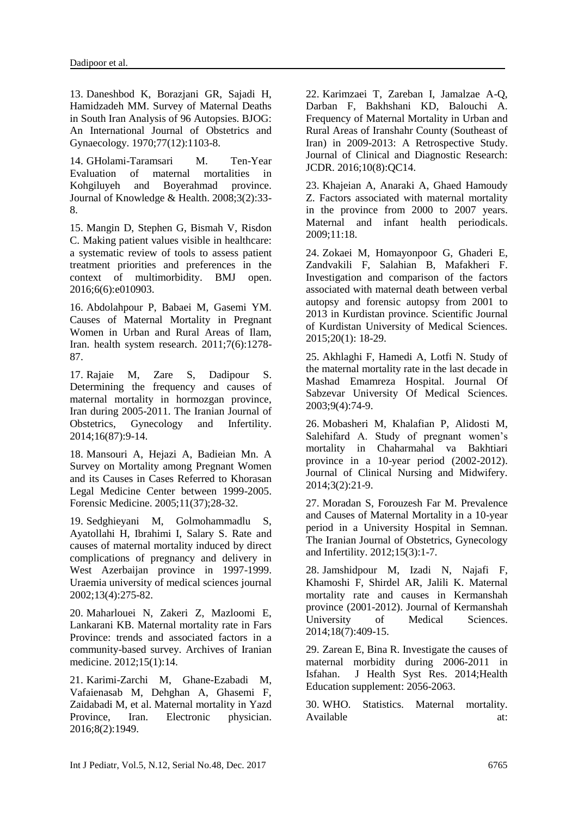13. Daneshbod K, Borazjani GR, Sajadi H, Hamidzadeh MM. Survey of Maternal Deaths in South Iran Analysis of 96 Autopsies. BJOG: An International Journal of Obstetrics and Gynaecology. 1970;77(12):1103-8.

14. GHolami-Taramsari M. Ten-Year Evaluation of maternal mortalities in Kohgiluyeh and Boyerahmad province. Journal of Knowledge & Health. 2008;3(2):33- 8.

15. Mangin D, Stephen G, Bismah V, Risdon C. Making patient values visible in healthcare: a systematic review of tools to assess patient treatment priorities and preferences in the context of multimorbidity. BMJ open. 2016;6(6):e010903.

16. Abdolahpour P, Babaei M, Gasemi YM. Causes of Maternal Mortality in Pregnant Women in Urban and Rural Areas of Ilam, Iran. health system research. 2011;7(6):1278- 87.

17. Rajaie M, Zare S, Dadipour S. Determining the frequency and causes of maternal mortality in hormozgan province, Iran during 2005-2011. The Iranian Journal of Obstetrics, Gynecology and Infertility. 2014;16(87):9-14.

18. Mansouri A, Hejazi A, Badieian Mn. A Survey on Mortality among Pregnant Women and its Causes in Cases Referred to Khorasan Legal Medicine Center between 1999-2005. Forensic Medicine. 2005;11(37);28-32.

19. Sedghieyani M, Golmohammadlu S, Ayatollahi H, Ibrahimi I, Salary S. Rate and causes of maternal mortality induced by direct complications of pregnancy and delivery in West Azerbaijan province in 1997-1999. Uraemia university of medical sciences journal 2002;13(4):275-82.

20. Maharlouei N, Zakeri Z, Mazloomi E, Lankarani KB. Maternal mortality rate in Fars Province: trends and associated factors in a community-based survey. Archives of Iranian medicine. 2012;15(1):14.

21. Karimi-Zarchi M, Ghane-Ezabadi M, Vafaienasab M, Dehghan A, Ghasemi F, Zaidabadi M, et al. Maternal mortality in Yazd Province, Iran. Electronic physician. 2016;8(2):1949.

22. Karimzaei T, Zareban I, Jamalzae A-Q, Darban F, Bakhshani KD, Balouchi A. Frequency of Maternal Mortality in Urban and Rural Areas of Iranshahr County (Southeast of Iran) in 2009-2013: A Retrospective Study. Journal of Clinical and Diagnostic Research: JCDR. 2016;10(8):QC14.

23. Khajeian A, Anaraki A, Ghaed Hamoudy Z. Factors associated with maternal mortality in the province from 2000 to 2007 years. Maternal and infant health periodicals. 2009;11:18.

24. Zokaei M, Homayonpoor G, Ghaderi E, Zandvakili F, Salahian B, Mafakheri F. Investigation and comparison of the factors associated with maternal death between verbal autopsy and forensic autopsy from 2001 to 2013 in Kurdistan province. Scientific Journal of Kurdistan University of Medical Sciences. 2015;20(1): 18-29.

25. Akhlaghi F, Hamedi A, Lotfi N. Study of the maternal mortality rate in the last decade in Mashad Emamreza Hospital. Journal Of Sabzevar University Of Medical Sciences. 2003;9(4):74-9.

26. Mobasheri M, Khalafian P, Alidosti M, Salehifard A. Study of pregnant women's mortality in Chaharmahal va Bakhtiari province in a 10-year period (2002-2012). Journal of Clinical Nursing and Midwifery. 2014;3(2):21-9.

27. Moradan S, Forouzesh Far M. Prevalence and Causes of Maternal Mortality in a 10-year period in a University Hospital in Semnan. The Iranian Journal of Obstetrics, Gynecology and Infertility. 2012;15(3):1-7.

28. Jamshidpour M, Izadi N, Najafi F, Khamoshi F, Shirdel AR, Jalili K. Maternal mortality rate and causes in Kermanshah province (2001-2012). Journal of Kermanshah University of Medical Sciences. 2014;18(7):409-15.

29. Zarean E, Bina R. Investigate the causes of maternal morbidity during 2006-2011 in Isfahan. J Health Syst Res. 2014;Health Education supplement: 2056-2063.

30. WHO. Statistics. Maternal mortality. Available at: at: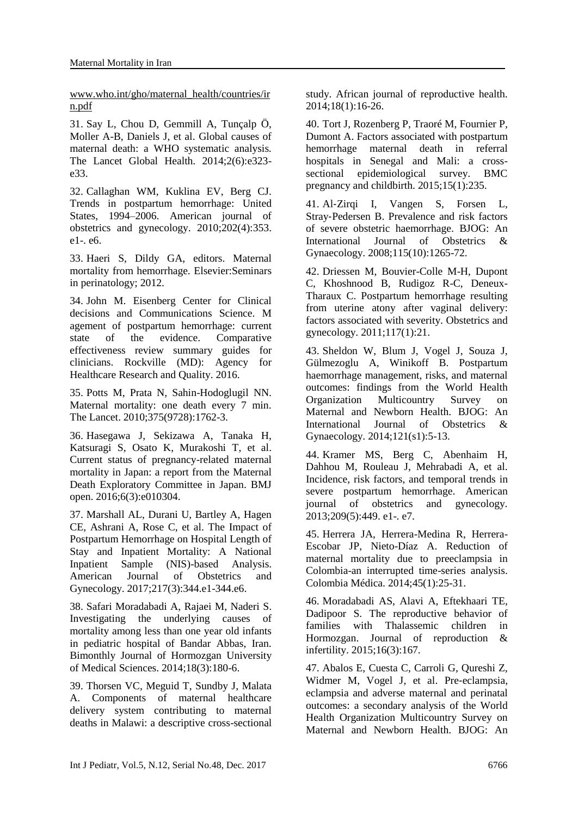www.who.int/gho/maternal\_health/countries/ir n.pdf

31. Say L, Chou D, Gemmill A, Tunçalp Ö, Moller A-B, Daniels J, et al. Global causes of maternal death: a WHO systematic analysis. The Lancet Global Health. 2014;2(6):e323 e33.

32. Callaghan WM, Kuklina EV, Berg CJ. Trends in postpartum hemorrhage: United States, 1994–2006. American journal of obstetrics and gynecology. 2010;202(4):353. e1-. e6.

33. Haeri S, Dildy GA, editors. Maternal mortality from hemorrhage. Elsevier:Seminars in perinatology; 2012.

34. John M. Eisenberg Center for Clinical decisions and Communications Science. M agement of postpartum hemorrhage: current state of the evidence. Comparative effectiveness review summary guides for clinicians. Rockville (MD): Agency for Healthcare Research and Quality. 2016.

35. Potts M, Prata N, Sahin-Hodoglugil NN. Maternal mortality: one death every 7 min. The Lancet. 2010;375(9728):1762-3.

36. Hasegawa J, Sekizawa A, Tanaka H, Katsuragi S, Osato K, Murakoshi T, et al. Current status of pregnancy-related maternal mortality in Japan: a report from the Maternal Death Exploratory Committee in Japan. BMJ open. 2016;6(3):e010304.

37. Marshall AL, Durani U, Bartley A, Hagen CE, Ashrani A, Rose C, et al. The Impact of Postpartum Hemorrhage on Hospital Length of Stay and Inpatient Mortality: A National Inpatient Sample (NIS)-based Analysis. American Journal of Obstetrics and Gynecology. 2017;217(3):344.e1-344.e6.

38. Safari Moradabadi A, Rajaei M, Naderi S. Investigating the underlying causes of mortality among less than one year old infants in pediatric hospital of Bandar Abbas, Iran. Bimonthly Journal of Hormozgan University of Medical Sciences. 2014;18(3):180-6.

39. Thorsen VC, Meguid T, Sundby J, Malata A. Components of maternal healthcare delivery system contributing to maternal deaths in Malawi: a descriptive cross-sectional study. African journal of reproductive health. 2014;18(1):16-26.

40. Tort J, Rozenberg P, Traoré M, Fournier P, Dumont A. Factors associated with postpartum hemorrhage maternal death in referral hospitals in Senegal and Mali: a crosssectional epidemiological survey. BMC pregnancy and childbirth. 2015;15(1):235.

41. Al-Zirgi I, Vangen S, Forsen L, Stray‐Pedersen B. Prevalence and risk factors of severe obstetric haemorrhage. BJOG: An International Journal of Obstetrics & Gynaecology. 2008;115(10):1265-72.

42. Driessen M, Bouvier-Colle M-H, Dupont C, Khoshnood B, Rudigoz R-C, Deneux-Tharaux C. Postpartum hemorrhage resulting from uterine atony after vaginal delivery: factors associated with severity. Obstetrics and gynecology. 2011;117(1):21.

43. Sheldon W, Blum J, Vogel J, Souza J, Gülmezoglu A, Winikoff B. Postpartum haemorrhage management, risks, and maternal outcomes: findings from the World Health Organization Multicountry Survey on Maternal and Newborn Health. BJOG: An International Journal of Obstetrics & Gynaecology. 2014;121(s1):5-13.

44. Kramer MS, Berg C, Abenhaim H, Dahhou M, Rouleau J, Mehrabadi A, et al. Incidence, risk factors, and temporal trends in severe postpartum hemorrhage. American journal of obstetrics and gynecology. 2013;209(5):449. e1-. e7.

45. Herrera JA, Herrera-Medina R, Herrera-Escobar JP, Nieto-Díaz A. Reduction of maternal mortality due to preeclampsia in Colombia-an interrupted time-series analysis. Colombia Médica. 2014;45(1):25-31.

46. Moradabadi AS, Alavi A, Eftekhaari TE, Dadipoor S. The reproductive behavior of families with Thalassemic children in Hormozgan. Journal of reproduction & infertility. 2015;16(3):167.

47. Abalos E, Cuesta C, Carroli G, Qureshi Z, Widmer M, Vogel J, et al. Pre‐eclampsia, eclampsia and adverse maternal and perinatal outcomes: a secondary analysis of the World Health Organization Multicountry Survey on Maternal and Newborn Health. BJOG: An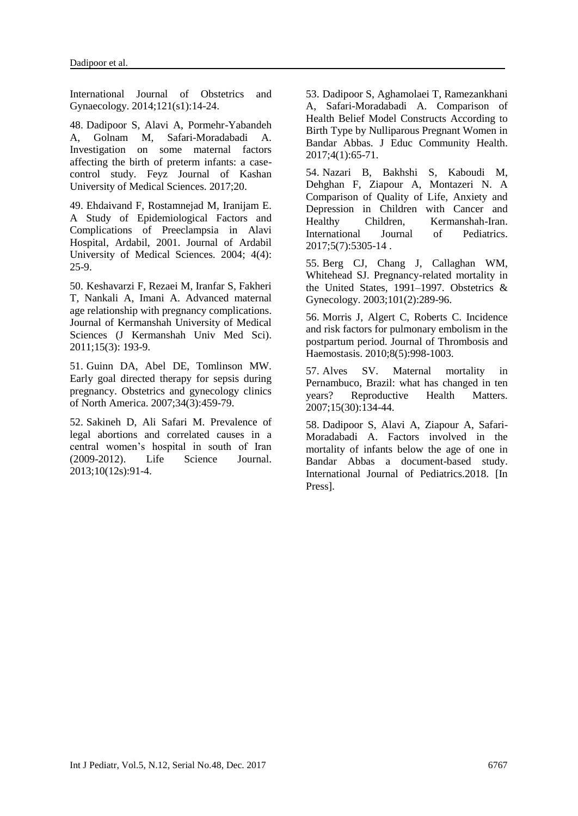International Journal of Obstetrics and Gynaecology. 2014;121(s1):14-24.

48. Dadipoor S, Alavi A, Pormehr-Yabandeh A, Golnam M, Safari-Moradabadi A. Investigation on some maternal factors affecting the birth of preterm infants: a casecontrol study. Feyz Journal of Kashan University of Medical Sciences. 2017;20.

49. Ehdaivand F, Rostamnejad M, Iranijam E. A Study of Epidemiological Factors and Complications of Preeclampsia in Alavi Hospital, Ardabil, 2001. Journal of Ardabil University of Medical Sciences. 2004; 4(4): 25-9.

50. Keshavarzi F, Rezaei M, Iranfar S, Fakheri T, Nankali A, Imani A. Advanced maternal age relationship with pregnancy complications. Journal of Kermanshah University of Medical Sciences (J Kermanshah Univ Med Sci). 2011;15(3): 193-9.

51. Guinn DA, Abel DE, Tomlinson MW. Early goal directed therapy for sepsis during pregnancy. Obstetrics and gynecology clinics of North America. 2007;34(3):459-79.

52. Sakineh D, Ali Safari M. Prevalence of legal abortions and correlated causes in a central women's hospital in south of Iran (2009-2012). Life Science Journal. 2013;10(12s):91-4.

53. Dadipoor S, Aghamolaei T, Ramezankhani A, Safari-Moradabadi A. Comparison of Health Belief Model Constructs According to Birth Type by Nulliparous Pregnant Women in Bandar Abbas. J Educ Community Health. 2017;4(1):65-71.

54. Nazari B, Bakhshi S, Kaboudi M, Dehghan F, Ziapour A, Montazeri N. A Comparison of Quality of Life, Anxiety and Depression in Children with Cancer and Healthy Children, Kermanshah-Iran. International Journal of Pediatrics. 2017;5(7):5305-14 .

55. Berg CJ, Chang J, Callaghan WM, Whitehead SJ. Pregnancy-related mortality in the United States, 1991–1997. Obstetrics & Gynecology. 2003;101(2):289-96.

56. Morris J, Algert C, Roberts C. Incidence and risk factors for pulmonary embolism in the postpartum period. Journal of Thrombosis and Haemostasis. 2010;8(5):998-1003.

57. Alves SV. Maternal mortality in Pernambuco, Brazil: what has changed in ten years? Reproductive Health Matters. 2007;15(30):134-44.

58. Dadipoor S, Alavi A, Ziapour A, Safari-Moradabadi A. Factors involved in the mortality of infants below the age of one in Bandar Abbas a document-based study. International Journal of Pediatrics.2018. [In Press].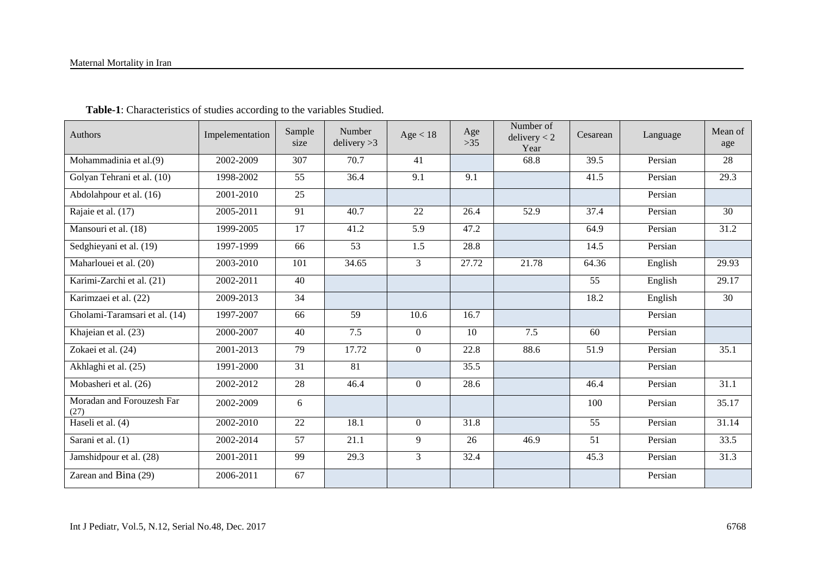| Authors                           | Impelementation         | Sample<br>size  | Number<br>delivery > 3 | Age < 18         | Age<br>$>35$ | Number of<br>delivery < 2<br>Year | Cesarean        | Language | Mean of<br>age |
|-----------------------------------|-------------------------|-----------------|------------------------|------------------|--------------|-----------------------------------|-----------------|----------|----------------|
| Mohammadinia et al.(9)            | 2002-2009               | 307             | 70.7                   | 41               |              | 68.8                              | 39.5            | Persian  | 28             |
| Golyan Tehrani et al. (10)        | 1998-2002               | 55              | 36.4                   | 9.1              | 9.1          |                                   | 41.5            | Persian  | 29.3           |
| Abdolahpour et al. (16)           | 2001-2010               | 25              |                        |                  |              |                                   |                 | Persian  |                |
| Rajaie et al. (17)                | 2005-2011               | 91              | 40.7                   | 22               | 26.4         | 37.4<br>52.9                      |                 | Persian  | 30             |
| Mansouri et al. (18)              | 1999-2005               | $\overline{17}$ | 41.2                   | 5.9              | 47.2         |                                   | 64.9            | Persian  | 31.2           |
| Sedghieyani et al. (19)           | 1997-1999               | 66              | 53                     | 1.5              | 28.8         |                                   | 14.5            | Persian  |                |
| Maharlouei et al. (20)            | 2003-2010               | 101             | 34.65                  | 3                | 27.72        | 21.78                             | 64.36           | English  | 29.93          |
| Karimi-Zarchi et al. (21)         | 2002-2011               | $\overline{40}$ |                        |                  |              |                                   | $\overline{55}$ | English  | 29.17          |
| Karimzaei et al. (22)             | $\overline{2009}$ -2013 | 34              |                        |                  |              |                                   | 18.2            | English  | 30             |
| Gholami-Taramsari et al. (14)     | 1997-2007               | 66              | 59                     | 10.6             | 16.7         |                                   |                 | Persian  |                |
| Khajeian et al. (23)              | 2000-2007               | 40              | 7.5                    | $\boldsymbol{0}$ | 10           | 7.5                               | 60              | Persian  |                |
| Zokaei et al. (24)                | 2001-2013               | 79              | 17.72                  | $\theta$         | 22.8         | 88.6                              | 51.9            | Persian  | 35.1           |
| Akhlaghi et al. (25)              | 1991-2000               | $\overline{31}$ | 81                     |                  | 35.5         |                                   |                 | Persian  |                |
| Mobasheri et al. (26)             | 2002-2012               | 28              | 46.4                   | $\theta$         | 28.6         |                                   | 46.4            | Persian  | 31.1           |
| Moradan and Forouzesh Far<br>(27) | 2002-2009               | 6               |                        |                  |              |                                   | 100             | Persian  | 35.17          |
| Haseli et al. (4)                 | 2002-2010               | 22              | 18.1                   | $\boldsymbol{0}$ | 31.8         |                                   | 55              | Persian  | 31.14          |
| Sarani et al. (1)                 | 2002-2014               | 57              | 21.1                   | 9                | 26           | 46.9                              | 51              | Persian  | 33.5           |
| Jamshidpour et al. (28)           | 2001-2011               | 99              | 29.3                   | 3                | 32.4         |                                   | 45.3            | Persian  | 31.3           |
| Zarean and Bina (29)              | 2006-2011               | 67              |                        |                  |              |                                   |                 | Persian  |                |

 **Table-1**: Characteristics of studies according to the variables Studied.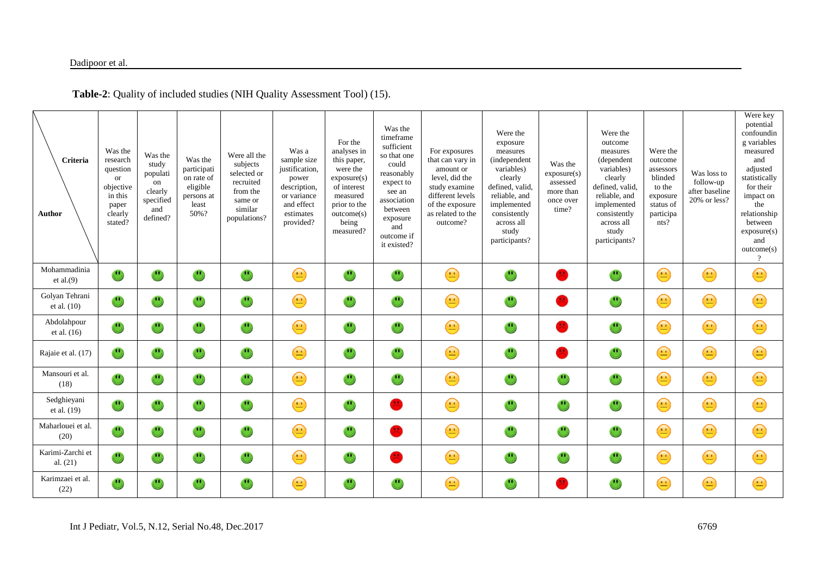| Criteria<br>Author              | Was the<br>research<br>question<br>or<br>objective<br>in this<br>paper<br>clearly<br>stated? | Was the<br>study<br>populati<br>on<br>clearly<br>specified<br>and<br>defined? | Was the<br>participati<br>on rate of<br>eligible<br>persons at<br>least<br>50%? | Were all the<br>subjects<br>selected or<br>recruited<br>from the<br>same or<br>similar<br>populations? | Was a<br>sample size<br>justification,<br>power<br>description,<br>or variance<br>and effect<br>estimates<br>provided? | For the<br>analyses in<br>this paper,<br>were the<br>exposure(s)<br>of interest<br>measured<br>prior to the<br>outcome(s)<br>being<br>measured? | Was the<br>timeframe<br>sufficient<br>so that one<br>could<br>reasonably<br>expect to<br>see an<br>association<br>between<br>exposure<br>and<br>outcome if<br>it existed? | For exposures<br>that can vary in<br>amount or<br>level, did the<br>study examine<br>different levels<br>of the exposure<br>as related to the<br>outcome? | Were the<br>exposure<br>measures<br>(independent<br>variables)<br>clearly<br>defined, valid,<br>reliable, and<br>implemented<br>consistently<br>across all<br>study<br>participants? | Was the<br>exposure(s)<br>assessed<br>more than<br>once over<br>time? | Were the<br>outcome<br>measures<br>(dependent<br>variables)<br>clearly<br>defined, valid,<br>reliable, and<br>implemented<br>consistently<br>across all<br>study<br>participants? | Were the<br>outcome<br>assessors<br>blinded<br>to the<br>exposure<br>status of<br>participa<br>nts? | Was loss to<br>follow-up<br>after baseline<br>20% or less? | Were key<br>potential<br>confoundin<br>g variables<br>measured<br>and<br>adjusted<br>statistically<br>for their<br>impact on<br>the<br>relationship<br>between<br>exposure(s)<br>and<br>outcome(s)<br>$\overline{?}$ |
|---------------------------------|----------------------------------------------------------------------------------------------|-------------------------------------------------------------------------------|---------------------------------------------------------------------------------|--------------------------------------------------------------------------------------------------------|------------------------------------------------------------------------------------------------------------------------|-------------------------------------------------------------------------------------------------------------------------------------------------|---------------------------------------------------------------------------------------------------------------------------------------------------------------------------|-----------------------------------------------------------------------------------------------------------------------------------------------------------|--------------------------------------------------------------------------------------------------------------------------------------------------------------------------------------|-----------------------------------------------------------------------|-----------------------------------------------------------------------------------------------------------------------------------------------------------------------------------|-----------------------------------------------------------------------------------------------------|------------------------------------------------------------|----------------------------------------------------------------------------------------------------------------------------------------------------------------------------------------------------------------------|
| Mohammadinia<br>et al. $(9)$    | $\overline{\mathbb{C}}$                                                                      | $\cup$                                                                        | $\cup$                                                                          | $\overline{\mathbb{C}}$                                                                                | $\bigodot$                                                                                                             | $\mathbf{C}$                                                                                                                                    | $\cup$                                                                                                                                                                    | $\bigodot$                                                                                                                                                | $\mathbf{C}$                                                                                                                                                                         | $\mathbf{C}$                                                          | $\overline{\mathbb{C}}$                                                                                                                                                           | $\bigodot$                                                                                          | $\bigodot$                                                 | $\bigodot$                                                                                                                                                                                                           |
| Golyan Tehrani<br>et al. $(10)$ | $\overline{\mathbb{C}}$                                                                      | $\cup$                                                                        | $\cup$                                                                          | $\cup$                                                                                                 | $\bigodot$                                                                                                             | $\cup$                                                                                                                                          | $\ddot{\bm{c}}$                                                                                                                                                           | $\bigodot$                                                                                                                                                | $\cup$                                                                                                                                                                               | $\overline{\phantom{a}}$                                              | $\mathbf{C}$                                                                                                                                                                      | $\bigodot$                                                                                          | $\bigodot$                                                 | $\bigodot$                                                                                                                                                                                                           |
| Abdolahpour<br>et al. (16)      | $\mathbf{C}$                                                                                 | $\cup$                                                                        | $\overline{\mathbb{C}}$                                                         | $\cup$                                                                                                 | $\bigodot$                                                                                                             | $\mathbf{C}$                                                                                                                                    | $\mathbf{C}$                                                                                                                                                              | $\bigodot$                                                                                                                                                | $\mathbf{C}$                                                                                                                                                                         | <b>CONTRACT</b>                                                       | $\mathbf{C}$                                                                                                                                                                      | $\bigodot$                                                                                          | $\bigodot$                                                 | $\bigodot$                                                                                                                                                                                                           |
| Rajaie et al. (17)              | $\mathbf{C}$                                                                                 | $\cup$                                                                        | $\cup$                                                                          | $\overline{\mathbf{C}}$                                                                                | $\bigodot$                                                                                                             | $\cup$                                                                                                                                          | $\mathbf{C}$                                                                                                                                                              | $\bigodot$                                                                                                                                                | $\cup$                                                                                                                                                                               | <b>Contract</b>                                                       | $\mathbf{C}$                                                                                                                                                                      | $\bigodot$                                                                                          | $\bigodot$                                                 | $\bigodot$                                                                                                                                                                                                           |
| Mansouri et al.<br>(18)         | $\overline{\mathbb{C}}$                                                                      | $\cup$                                                                        | $\cup$                                                                          | $\cup$                                                                                                 | $\bigodot$                                                                                                             | $\mathbf{C}$                                                                                                                                    | $\cup$                                                                                                                                                                    | $\bigodot$                                                                                                                                                | $\cup$                                                                                                                                                                               | $\cup$                                                                | $\mathbf{C}$                                                                                                                                                                      | $\bigodot$                                                                                          | $\bigodot$                                                 | $\bigodot$                                                                                                                                                                                                           |
| Sedghieyani<br>et al. (19)      | U                                                                                            | $\cup$                                                                        | $\cup$                                                                          | $\mathbf{C}$                                                                                           | $\bigodot$                                                                                                             | $\mathbf{C}$                                                                                                                                    | $\mathbf{E}$                                                                                                                                                              | $\bigodot$                                                                                                                                                | $\overline{\mathbb{C}}$                                                                                                                                                              | $\mathbf{C}$                                                          | $\mathbf{C}$                                                                                                                                                                      | $\bigodot$                                                                                          | $\bigodot$                                                 | $\bigodot$                                                                                                                                                                                                           |
| Maharlouei et al.<br>(20)       | $\overline{\mathbf{U}}$                                                                      | $\cup$                                                                        | $\cup$                                                                          | $\mathbf{u}_1$                                                                                         | $\bigoplus$                                                                                                            | $\cup$                                                                                                                                          | $\bullet$                                                                                                                                                                 | $\bigodot$                                                                                                                                                | $\mathbf{C}$                                                                                                                                                                         | $\mathbf{C}$                                                          | $\cup$                                                                                                                                                                            | $\bigodot$                                                                                          | $\bigodot$                                                 | $\bigodot$                                                                                                                                                                                                           |
| Karimi-Zarchi et<br>al. $(21)$  | $\mathbf{C}$                                                                                 | $\mathbf{C}$                                                                  | $\bigcirc$                                                                      | $\mathbf{u}$                                                                                           | $\bigodot$                                                                                                             | $\overline{\mathbf{C}}$                                                                                                                         | $\bullet$                                                                                                                                                                 | $\bigodot$                                                                                                                                                | $\overline{\mathbb{C}}$                                                                                                                                                              | $\mathbf{C}$                                                          | $\bf{C}$                                                                                                                                                                          | $\bigodot$                                                                                          | $\bigodot$                                                 | $\bigodot$                                                                                                                                                                                                           |
| Karimzaei et al.<br>(22)        | $\mathbf{C}$                                                                                 | $\mathbf{u}$                                                                  | $\overline{\mathbf{u}}$                                                         | $\mathbf{u}$                                                                                           | $\bigodot$                                                                                                             | $\overline{\mathbf{C}}$                                                                                                                         | $\left( \begin{matrix} 1 \\ 1 \end{matrix} \right)$                                                                                                                       | $\bigodot$                                                                                                                                                | $\overline{\mathbf{C}}$                                                                                                                                                              |                                                                       | $\mathbf{u}$                                                                                                                                                                      | $\bigodot$                                                                                          | $\bigodot$                                                 | $\bigodot$                                                                                                                                                                                                           |

**Table-2**: Quality of included studies (NIH Quality Assessment Tool) (15).